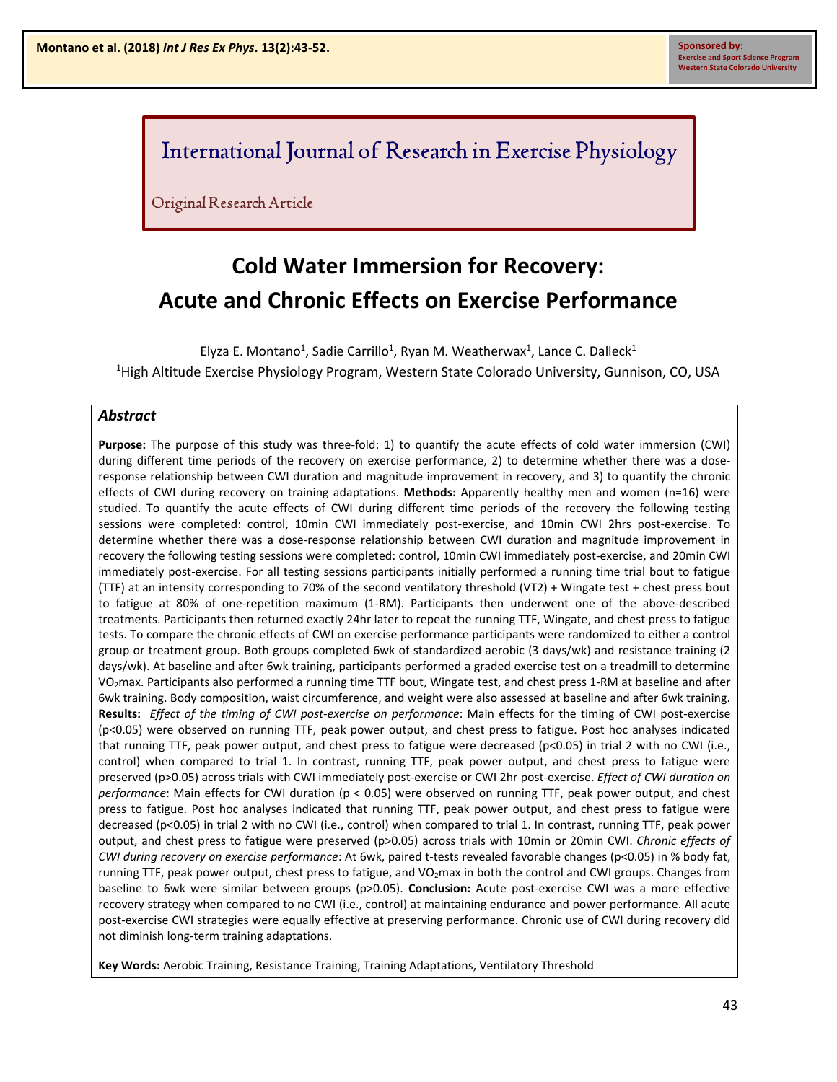## International Journal of Research in Exercise Physiology

Original Research Article

# **Cold Water Immersion for Recovery: Acute and Chronic Effects on Exercise Performance**

Elyza E. Montano<sup>1</sup>, Sadie Carrillo<sup>1</sup>, Ryan M. Weatherwax<sup>1</sup>, Lance C. Dalleck<sup>1</sup> <sup>1</sup>High Altitude Exercise Physiology Program, Western State Colorado University, Gunnison, CO, USA

#### *Abstract*

**Purpose:** The purpose of this study was three-fold: 1) to quantify the acute effects of cold water immersion (CWI) during different time periods of the recovery on exercise performance, 2) to determine whether there was a doseresponse relationship between CWI duration and magnitude improvement in recovery, and 3) to quantify the chronic effects of CWI during recovery on training adaptations. **Methods:** Apparently healthy men and women (n=16) were studied. To quantify the acute effects of CWI during different time periods of the recovery the following testing sessions were completed: control, 10min CWI immediately post-exercise, and 10min CWI 2hrs post-exercise. To determine whether there was a dose-response relationship between CWI duration and magnitude improvement in recovery the following testing sessions were completed: control, 10min CWI immediately post-exercise, and 20min CWI immediately post-exercise. For all testing sessions participants initially performed a running time trial bout to fatigue (TTF) at an intensity corresponding to 70% of the second ventilatory threshold (VT2) + Wingate test + chest press bout to fatigue at 80% of one-repetition maximum (1-RM). Participants then underwent one of the above-described treatments. Participants then returned exactly 24hr later to repeat the running TTF, Wingate, and chest press to fatigue tests. To compare the chronic effects of CWI on exercise performance participants were randomized to either a control group or treatment group. Both groups completed 6wk of standardized aerobic (3 days/wk) and resistance training (2 days/wk). At baseline and after 6wk training, participants performed a graded exercise test on a treadmill to determine VO<sub>2</sub>max. Participants also performed a running time TTF bout, Wingate test, and chest press 1-RM at baseline and after 6wk training. Body composition, waist circumference, and weight were also assessed at baseline and after 6wk training. **Results:** *Effect of the timing of CWI post-exercise on performance*: Main effects for the timing of CWI post-exercise (p<0.05) were observed on running TTF, peak power output, and chest press to fatigue. Post hoc analyses indicated that running TTF, peak power output, and chest press to fatigue were decreased ( $p<0.05$ ) in trial 2 with no CWI (i.e., control) when compared to trial 1. In contrast, running TTF, peak power output, and chest press to fatigue were preserved (p>0.05) across trials with CWI immediately post-exercise or CWI 2hr post-exercise. *Effect of CWI duration on performance*: Main effects for CWI duration (p < 0.05) were observed on running TTF, peak power output, and chest press to fatigue. Post hoc analyses indicated that running TTF, peak power output, and chest press to fatigue were decreased (p<0.05) in trial 2 with no CWI (i.e., control) when compared to trial 1. In contrast, running TTF, peak power output, and chest press to fatigue were preserved (p>0.05) across trials with 10min or 20min CWI. *Chronic effects of CWI during recovery on exercise performance*: At 6wk, paired t-tests revealed favorable changes (p<0.05) in % body fat, running TTF, peak power output, chest press to fatigue, and VO<sub>2</sub>max in both the control and CWI groups. Changes from baseline to 6wk were similar between groups (p>0.05). **Conclusion:** Acute post-exercise CWI was a more effective recovery strategy when compared to no CWI (i.e., control) at maintaining endurance and power performance. All acute post-exercise CWI strategies were equally effective at preserving performance. Chronic use of CWI during recovery did not diminish long-term training adaptations.

**Key Words:** Aerobic Training, Resistance Training, Training Adaptations, Ventilatory Threshold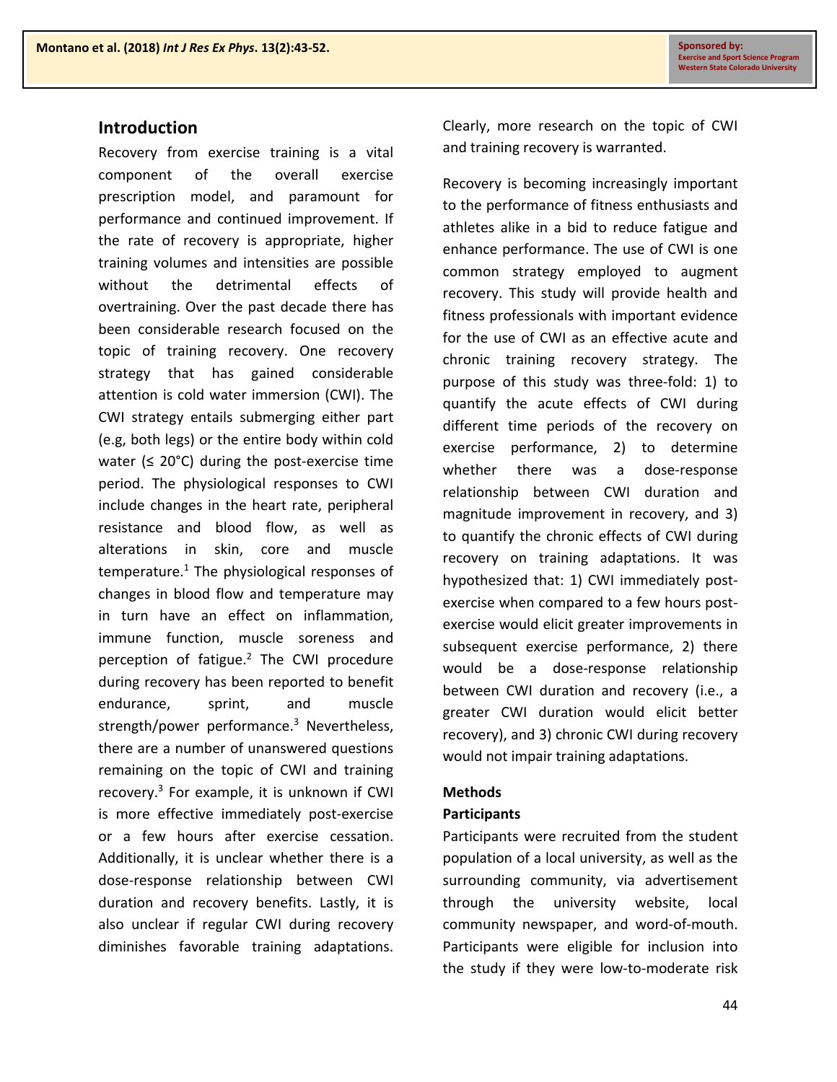### **Introduction**

Recovery from exercise training is a vital component of the overall exercise prescription model, and paramount for performance and continued improvement. If the rate of recovery is appropriate, higher training volumes and intensities are possible without the detrimental effects of overtraining. Over the past decade there has been considerable research focused on the topic of training recovery. One recovery strategy that has gained considerable attention is cold water immersion (CWI). The CWI strategy entails submerging either part (e.g, both legs) or the entire body within cold water ( $\leq 20^{\circ}$ C) during the post-exercise time period. The physiological responses to CWI include changes in the heart rate, peripheral resistance and blood flow, as well as alterations in skin, core and muscle temperature. $1$  The physiological responses of changes in blood flow and temperature may in turn have an effect on inflammation, immune function, muscle soreness and perception of fatigue. $2$  The CWI procedure during recovery has been reported to benefit endurance, sprint, and muscle strength/power performance.<sup>3</sup> Nevertheless, there are a number of unanswered questions remaining on the topic of CWI and training recovery.3 For example, it is unknown if CWI is more effective immediately post-exercise or a few hours after exercise cessation. Additionally, it is unclear whether there is a dose-response relationship between CWI duration and recovery benefits. Lastly, it is also unclear if regular CWI during recovery diminishes favorable training adaptations.

Clearly, more research on the topic of CWI and training recovery is warranted.

Recovery is becoming increasingly important to the performance of fitness enthusiasts and athletes alike in a bid to reduce fatigue and enhance performance. The use of CWI is one common strategy employed to augment recovery. This study will provide health and fitness professionals with important evidence for the use of CWI as an effective acute and chronic training recovery strategy. The purpose of this study was three-fold: 1) to quantify the acute effects of CWI during different time periods of the recovery on exercise performance, 2) to determine whether there was a dose-response relationship between CWI duration and magnitude improvement in recovery, and 3) to quantify the chronic effects of CWI during recovery on training adaptations. It was hypothesized that: 1) CWI immediately postexercise when compared to a few hours postexercise would elicit greater improvements in subsequent exercise performance, 2) there would be a dose-response relationship between CWI duration and recovery (i.e., a greater CWI duration would elicit better recovery), and 3) chronic CWI during recovery would not impair training adaptations.

#### **Methods**

#### **Participants**

Participants were recruited from the student population of a local university, as well as the surrounding community, via advertisement through the university website, local community newspaper, and word-of-mouth. Participants were eligible for inclusion into the study if they were low-to-moderate risk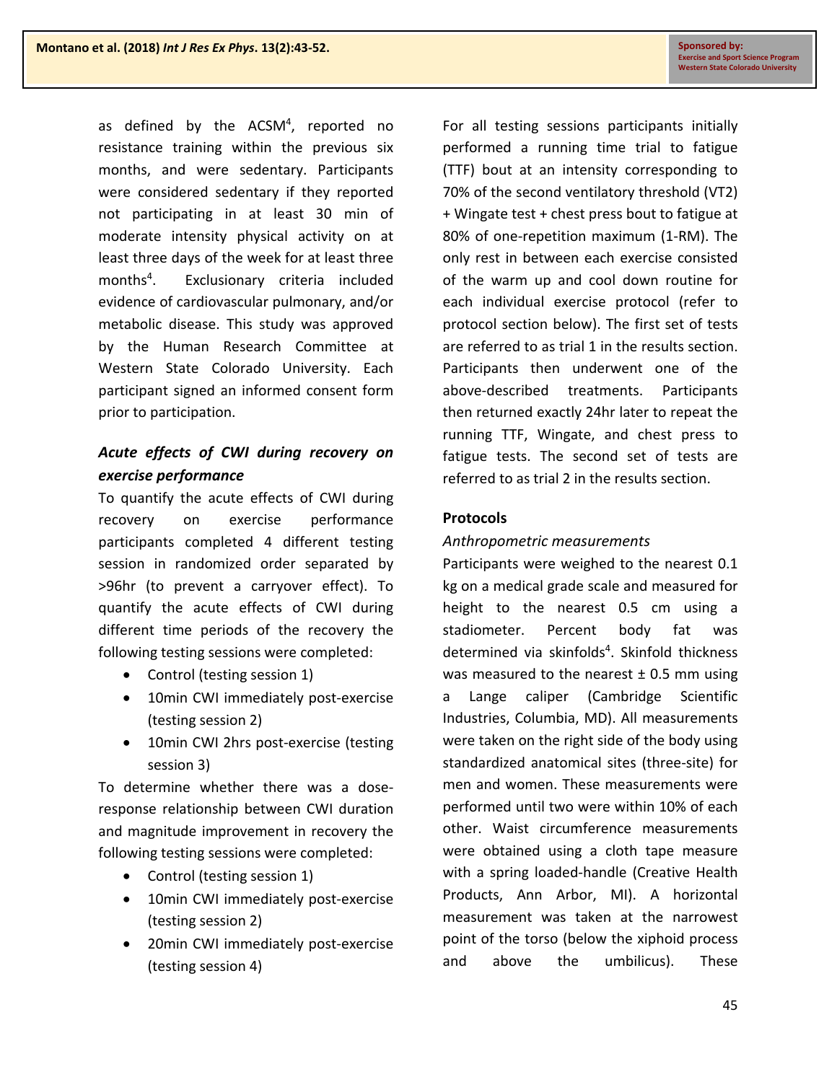as defined by the ACSM<sup>4</sup>, reported no resistance training within the previous six months, and were sedentary. Participants were considered sedentary if they reported not participating in at least 30 min of moderate intensity physical activity on at least three days of the week for at least three months $4$ . . Exclusionary criteria included evidence of cardiovascular pulmonary, and/or metabolic disease. This study was approved by the Human Research Committee at Western State Colorado University. Each participant signed an informed consent form prior to participation.

### *Acute effects of CWI during recovery on exercise performance*

To quantify the acute effects of CWI during recovery on exercise performance participants completed 4 different testing session in randomized order separated by >96hr (to prevent a carryover effect). To quantify the acute effects of CWI during different time periods of the recovery the following testing sessions were completed:

- Control (testing session 1)
- 10min CWI immediately post-exercise (testing session 2)
- 10min CWI 2hrs post-exercise (testing session 3)

To determine whether there was a doseresponse relationship between CWI duration and magnitude improvement in recovery the following testing sessions were completed:

- Control (testing session 1)
- 10min CWI immediately post-exercise (testing session 2)
- 20min CWI immediately post-exercise (testing session 4)

For all testing sessions participants initially performed a running time trial to fatigue (TTF) bout at an intensity corresponding to 70% of the second ventilatory threshold (VT2) + Wingate test + chest press bout to fatigue at 80% of one-repetition maximum (1-RM). The only rest in between each exercise consisted of the warm up and cool down routine for each individual exercise protocol (refer to protocol section below). The first set of tests are referred to as trial 1 in the results section. Participants then underwent one of the above-described treatments. Participants then returned exactly 24hr later to repeat the running TTF, Wingate, and chest press to fatigue tests. The second set of tests are referred to as trial 2 in the results section.

### **Protocols**

### *Anthropometric measurements*

Participants were weighed to the nearest 0.1 kg on a medical grade scale and measured for height to the nearest 0.5 cm using a stadiometer. Percent body fat was determined via skinfolds<sup>4</sup>. Skinfold thickness was measured to the nearest  $\pm$  0.5 mm using a Lange caliper (Cambridge Scientific Industries, Columbia, MD). All measurements were taken on the right side of the body using standardized anatomical sites (three-site) for men and women. These measurements were performed until two were within 10% of each other. Waist circumference measurements were obtained using a cloth tape measure with a spring loaded-handle (Creative Health Products, Ann Arbor, MI). A horizontal measurement was taken at the narrowest point of the torso (below the xiphoid process and above the umbilicus). These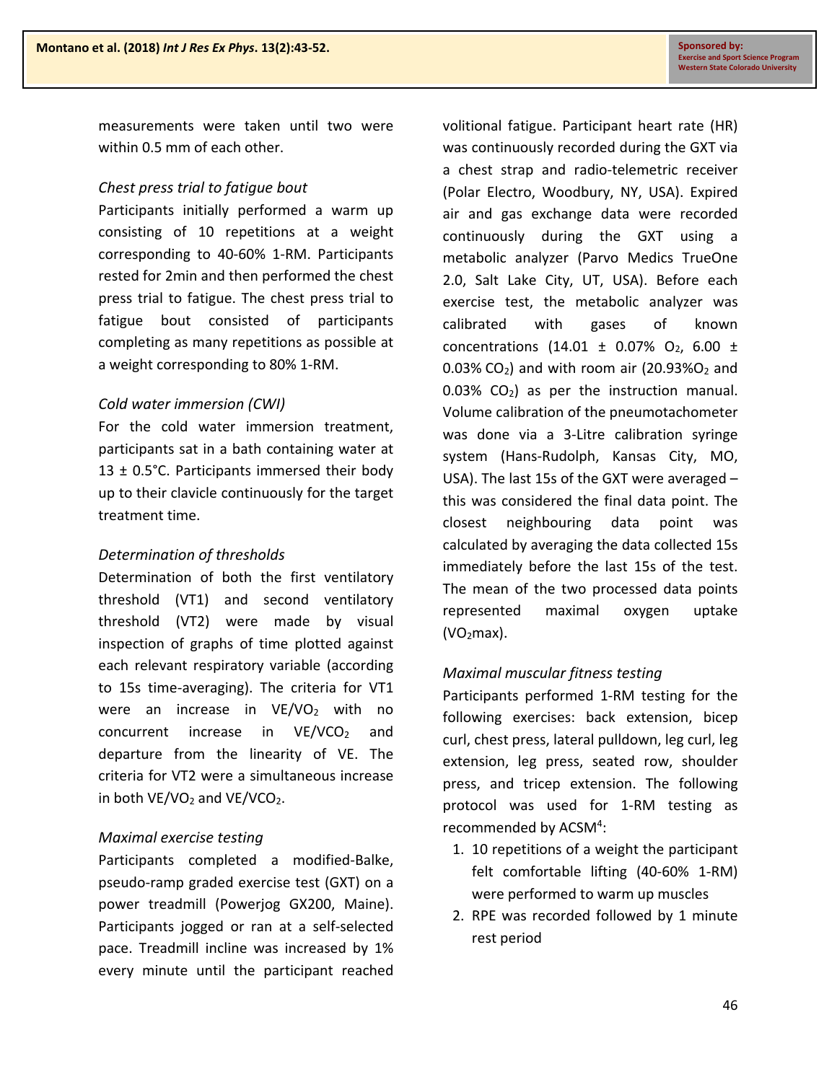measurements were taken until two were within 0.5 mm of each other.

### *Chest press trial to fatigue bout*

Participants initially performed a warm up consisting of 10 repetitions at a weight corresponding to 40-60% 1-RM. Participants rested for 2min and then performed the chest press trial to fatigue. The chest press trial to fatigue bout consisted of participants completing as many repetitions as possible at a weight corresponding to 80% 1-RM.

### *Cold water immersion (CWI)*

For the cold water immersion treatment, participants sat in a bath containing water at 13  $\pm$  0.5°C. Participants immersed their body up to their clavicle continuously for the target treatment time.

### *Determination of thresholds*

Determination of both the first ventilatory threshold (VT1) and second ventilatory threshold (VT2) were made by visual inspection of graphs of time plotted against each relevant respiratory variable (according to 15s time-averaging). The criteria for VT1 were an increase in  $VE/VO<sub>2</sub>$  with no concurrent increase in  $VE/VCO<sub>2</sub>$  and departure from the linearity of VE. The criteria for VT2 were a simultaneous increase in both  $VE/VO<sub>2</sub>$  and  $VE/VCO<sub>2</sub>$ .

### *Maximal exercise testing*

Participants completed a modified-Balke, pseudo-ramp graded exercise test (GXT) on a power treadmill (Powerjog GX200, Maine). Participants jogged or ran at a self-selected pace. Treadmill incline was increased by 1% every minute until the participant reached

volitional fatigue. Participant heart rate (HR) was continuously recorded during the GXT via a chest strap and radio-telemetric receiver (Polar Electro, Woodbury, NY, USA). Expired air and gas exchange data were recorded continuously during the GXT using a metabolic analyzer (Parvo Medics TrueOne 2.0, Salt Lake City, UT, USA). Before each exercise test, the metabolic analyzer was calibrated with gases of known concentrations (14.01  $\pm$  0.07% O<sub>2</sub>, 6.00  $\pm$  $0.03\%$  CO<sub>2</sub>) and with room air (20.93%O<sub>2</sub> and  $0.03\%$  CO<sub>2</sub>) as per the instruction manual. Volume calibration of the pneumotachometer was done via a 3-Litre calibration syringe system (Hans-Rudolph, Kansas City, MO, USA). The last 15s of the GXT were averaged – this was considered the final data point. The closest neighbouring data point was calculated by averaging the data collected 15s immediately before the last 15s of the test. The mean of the two processed data points represented maximal oxygen uptake  $(VO<sub>2</sub>max).$ 

### *Maximal muscular fitness testing*

Participants performed 1-RM testing for the following exercises: back extension, bicep curl, chest press, lateral pulldown, leg curl, leg extension, leg press, seated row, shoulder press, and tricep extension. The following protocol was used for 1-RM testing as recommended by ACSM<sup>4</sup>:

- 1. 10 repetitions of a weight the participant felt comfortable lifting (40-60% 1-RM) were performed to warm up muscles
- 2. RPE was recorded followed by 1 minute rest period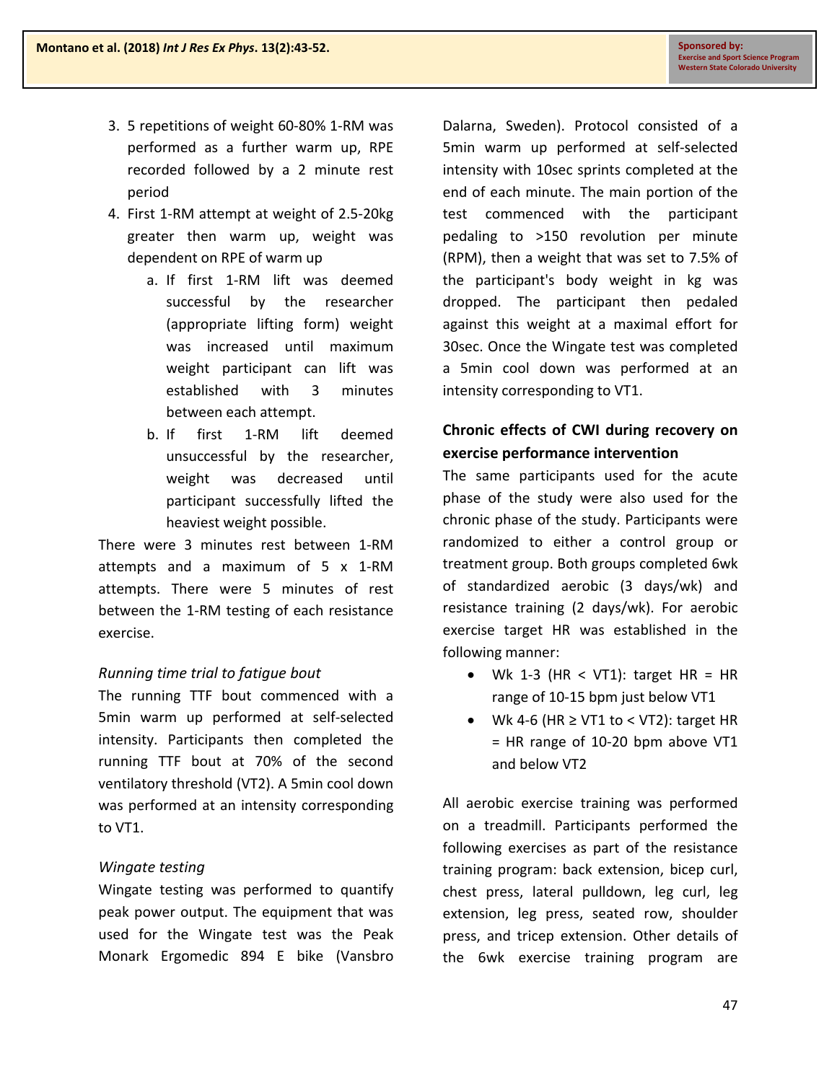- 3. 5 repetitions of weight 60-80% 1-RM was performed as a further warm up, RPE recorded followed by a 2 minute rest period
- 4. First 1-RM attempt at weight of 2.5-20kg greater then warm up, weight was dependent on RPE of warm up
	- a. If first 1-RM lift was deemed successful by the researcher (appropriate lifting form) weight was increased until maximum weight participant can lift was established with 3 minutes between each attempt.
	- b. If first 1-RM lift deemed unsuccessful by the researcher, weight was decreased until participant successfully lifted the heaviest weight possible.

There were 3 minutes rest between 1-RM attempts and a maximum of 5 x 1-RM attempts. There were 5 minutes of rest between the 1-RM testing of each resistance exercise.

### *Running time trial to fatigue bout*

The running TTF bout commenced with a 5min warm up performed at self-selected intensity. Participants then completed the running TTF bout at 70% of the second ventilatory threshold (VT2). A 5min cool down was performed at an intensity corresponding to VT1.

### *Wingate testing*

Wingate testing was performed to quantify peak power output. The equipment that was used for the Wingate test was the Peak Monark Ergomedic 894 E bike (Vansbro

Dalarna, Sweden). Protocol consisted of a 5min warm up performed at self-selected intensity with 10sec sprints completed at the end of each minute. The main portion of the test commenced with the participant pedaling to >150 revolution per minute (RPM), then a weight that was set to 7.5% of the participant's body weight in kg was dropped. The participant then pedaled against this weight at a maximal effort for 30sec. Once the Wingate test was completed a 5min cool down was performed at an intensity corresponding to VT1.

### **Chronic effects of CWI during recovery on exercise performance intervention**

The same participants used for the acute phase of the study were also used for the chronic phase of the study. Participants were randomized to either a control group or treatment group. Both groups completed 6wk of standardized aerobic (3 days/wk) and resistance training (2 days/wk). For aerobic exercise target HR was established in the following manner:

- Wk 1-3 (HR < VT1): target HR = HR range of 10-15 bpm just below VT1
- Wk 4-6 (HR  $\geq$  VT1 to < VT2): target HR = HR range of 10-20 bpm above VT1 and below VT2

All aerobic exercise training was performed on a treadmill. Participants performed the following exercises as part of the resistance training program: back extension, bicep curl, chest press, lateral pulldown, leg curl, leg extension, leg press, seated row, shoulder press, and tricep extension. Other details of the 6wk exercise training program are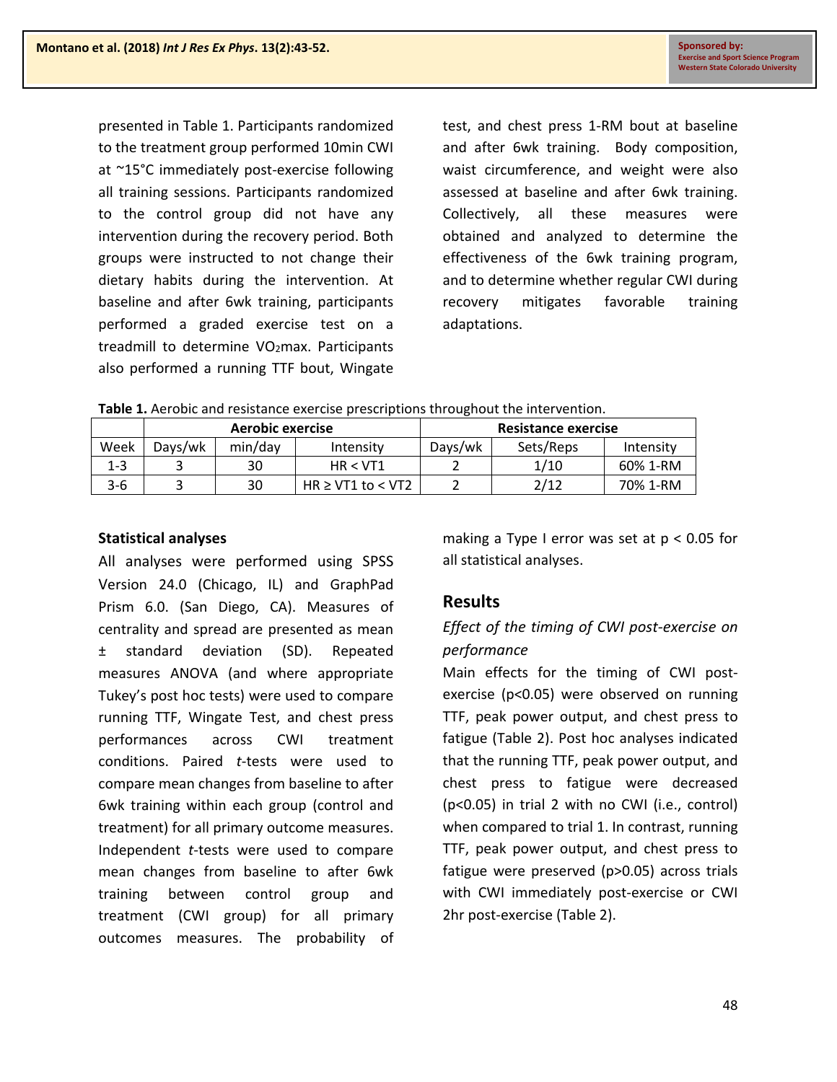presented in Table 1. Participants randomized to the treatment group performed 10min CWI at ~15°C immediately post-exercise following all training sessions. Participants randomized to the control group did not have any intervention during the recovery period. Both groups were instructed to not change their dietary habits during the intervention. At baseline and after 6wk training, participants performed a graded exercise test on a treadmill to determine VO<sub>2</sub>max. Participants also performed a running TTF bout, Wingate

test, and chest press 1-RM bout at baseline and after 6wk training. Body composition, waist circumference, and weight were also assessed at baseline and after 6wk training. Collectively, all these measures were obtained and analyzed to determine the effectiveness of the 6wk training program, and to determine whether regular CWI during recovery mitigates favorable training adaptations.

**Table 1.** Aerobic and resistance exercise prescriptions throughout the intervention.

|         | Aerobic exercise |         |                        | Resistance exercise |           |           |
|---------|------------------|---------|------------------------|---------------------|-----------|-----------|
| Week    | Davs/wk          | min/day | Intensity              | Days/wk             | Sets/Reps | Intensity |
| $1 - 3$ |                  | 30      | HR < VT1               |                     | 1/10      | 60% 1-RM  |
| $3-6$   |                  | 30      | $HR \geq VT1$ to < VT2 |                     | 2/12      | 70% 1-RM  |

#### **Statistical analyses**

All analyses were performed using SPSS Version 24.0 (Chicago, IL) and GraphPad Prism 6.0. (San Diego, CA). Measures of centrality and spread are presented as mean ± standard deviation (SD). Repeated measures ANOVA (and where appropriate Tukey's post hoc tests) were used to compare running TTF, Wingate Test, and chest press performances across CWI treatment conditions. Paired *t*-tests were used to compare mean changes from baseline to after 6wk training within each group (control and treatment) for all primary outcome measures. Independent *t*-tests were used to compare mean changes from baseline to after 6wk training between control group and treatment (CWI group) for all primary outcomes measures. The probability of making a Type I error was set at p < 0.05 for all statistical analyses.

### **Results**

### *Effect of the timing of CWI post-exercise on performance*

Main effects for the timing of CWI postexercise (p<0.05) were observed on running TTF, peak power output, and chest press to fatigue (Table 2). Post hoc analyses indicated that the running TTF, peak power output, and chest press to fatigue were decreased (p<0.05) in trial 2 with no CWI (i.e., control) when compared to trial 1. In contrast, running TTF, peak power output, and chest press to fatigue were preserved (p>0.05) across trials with CWI immediately post-exercise or CWI 2hr post-exercise (Table 2).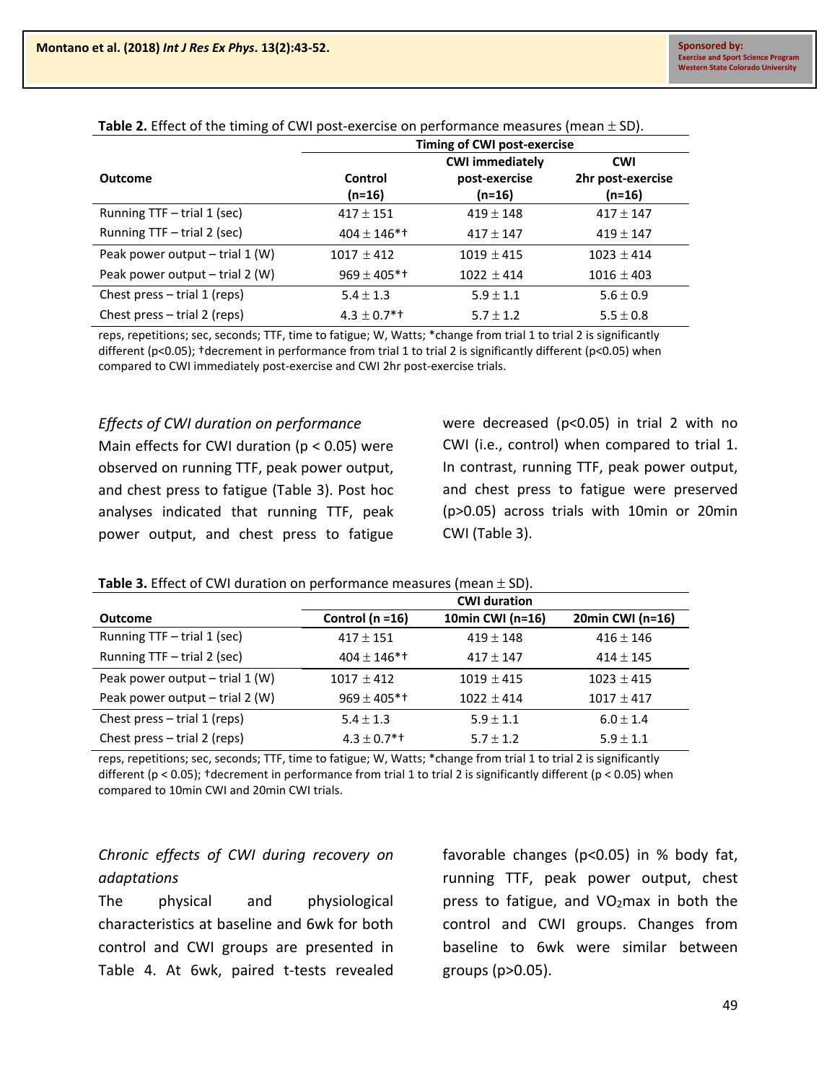|                                   | Timing of CWI post-exercise |                        |                   |  |
|-----------------------------------|-----------------------------|------------------------|-------------------|--|
|                                   |                             | <b>CWI immediately</b> | <b>CWI</b>        |  |
| Outcome                           | Control                     | post-exercise          | 2hr post-exercise |  |
|                                   | $(n=16)$                    | (n=16)                 | (n=16)            |  |
| Running TTF - trial 1 (sec)       | $417 \pm 151$               | $419 \pm 148$          | $417 \pm 147$     |  |
| Running TTF - trial 2 (sec)       | $404 \pm 146$ <sup>*</sup>  | $417 \pm 147$          | $419 \pm 147$     |  |
| Peak power output $-$ trial 1 (W) | $1017 \pm 412$              | $1019 \pm 415$         | $1023 \pm 414$    |  |
| Peak power output $-$ trial 2 (W) | $969 \pm 405$ *†            | $1022 \pm 414$         | $1016 \pm 403$    |  |
| Chest press $-$ trial 1 (reps)    | $5.4 \pm 1.3$               | $5.9 \pm 1.1$          | $5.6 \pm 0.9$     |  |
| Chest press $-$ trial 2 (reps)    | $4.3 \pm 0.7$ *†            | $5.7 \pm 1.2$          | $5.5 \pm 0.8$     |  |

**Table 2.** Effect of the timing of CWI post-exercise on performance measures (mean ± SD).

reps, repetitions; sec, seconds; TTF, time to fatigue; W, Watts; \*change from trial 1 to trial 2 is significantly different (p<0.05); †decrement in performance from trial 1 to trial 2 is significantly different (p<0.05) when compared to CWI immediately post-exercise and CWI 2hr post-exercise trials.

#### *Effects of CWI duration on performance*

Main effects for CWI duration ( $p < 0.05$ ) were observed on running TTF, peak power output, and chest press to fatigue (Table 3). Post hoc analyses indicated that running TTF, peak power output, and chest press to fatigue

were decreased (p<0.05) in trial 2 with no CWI (i.e., control) when compared to trial 1. In contrast, running TTF, peak power output, and chest press to fatigue were preserved (p>0.05) across trials with 10min or 20min CWI (Table 3).

#### **Table 3.** Effect of CWI duration on performance measures (mean ± SD).

|                                   |                            | <b>CWI duration</b> |                  |
|-----------------------------------|----------------------------|---------------------|------------------|
| <b>Outcome</b>                    | Control ( $n = 16$ )       | 10min CWI (n=16)    | 20min CWI (n=16) |
| Running TTF - trial 1 (sec)       | $417 \pm 151$              | $419 \pm 148$       | $416 \pm 146$    |
| Running TTF - trial 2 (sec)       | $404 \pm 146$ <sup>*</sup> | $417 \pm 147$       | $414 \pm 145$    |
| Peak power output $-$ trial 1 (W) | $1017 \pm 412$             | $1019 \pm 415$      | $1023 \pm 415$   |
| Peak power output $-$ trial 2 (W) | $969 \pm 405$ <sup>*</sup> | $1022 \pm 414$      | $1017 \pm 417$   |
| Chest press $-$ trial 1 (reps)    | $5.4 \pm 1.3$              | $5.9 \pm 1.1$       | $6.0 \pm 1.4$    |
| Chest press $-$ trial 2 (reps)    | $4.3 \pm 0.7$ *†           | $5.7 \pm 1.2$       | $5.9 \pm 1.1$    |

reps, repetitions; sec, seconds; TTF, time to fatigue; W, Watts; \*change from trial 1 to trial 2 is significantly different (p < 0.05); †decrement in performance from trial 1 to trial 2 is significantly different (p < 0.05) when compared to 10min CWI and 20min CWI trials.

### *Chronic effects of CWI during recovery on adaptations*

The physical and physiological characteristics at baseline and 6wk for both control and CWI groups are presented in Table 4. At 6wk, paired t-tests revealed favorable changes (p<0.05) in % body fat, running TTF, peak power output, chest press to fatigue, and  $VO<sub>2</sub>$ max in both the control and CWI groups. Changes from baseline to 6wk were similar between groups (p>0.05).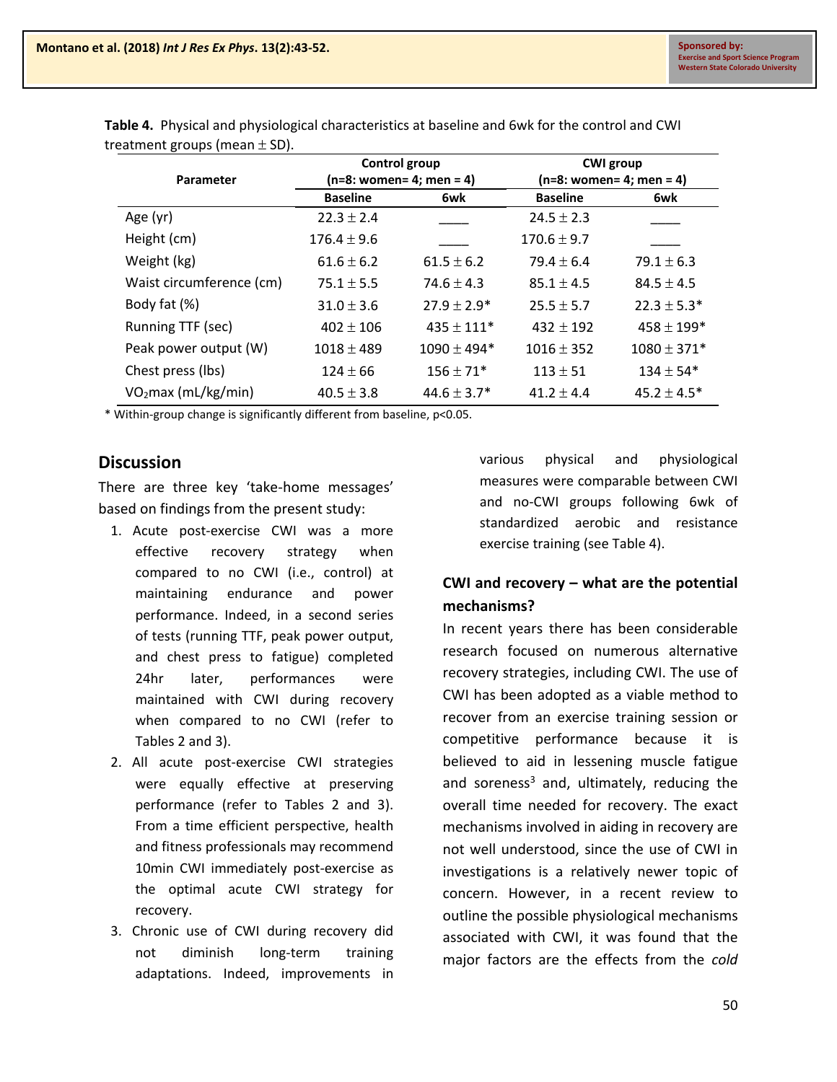| Parameter                       | Control group<br>(n=8: women= 4; men = 4) |                  | <b>CWI</b> group<br>(n=8: women= 4; men = 4) |                 |
|---------------------------------|-------------------------------------------|------------------|----------------------------------------------|-----------------|
|                                 | <b>Baseline</b>                           | 6wk              | <b>Baseline</b>                              | 6wk             |
| Age (yr)                        | $22.3 \pm 2.4$                            |                  | $24.5 \pm 2.3$                               |                 |
| Height (cm)                     | $176.4 \pm 9.6$                           |                  | $170.6 \pm 9.7$                              |                 |
| Weight (kg)                     | $61.6 \pm 6.2$                            | $61.5 \pm 6.2$   | $79.4 \pm 6.4$                               | $79.1 \pm 6.3$  |
| Waist circumference (cm)        | $75.1 \pm 5.5$                            | $74.6 \pm 4.3$   | $85.1 \pm 4.5$                               | $84.5 \pm 4.5$  |
| Body fat (%)                    | $31.0 \pm 3.6$                            | $27.9 \pm 2.9^*$ | $25.5 \pm 5.7$                               | $22.3 \pm 5.3*$ |
| Running TTF (sec)               | $402 \pm 106$                             | $435 \pm 111*$   | $432 \pm 192$                                | $458 \pm 199*$  |
| Peak power output (W)           | $1018 \pm 489$                            | $1090 \pm 494*$  | $1016 \pm 352$                               | $1080 \pm 371*$ |
| Chest press (lbs)               | $124 \pm 66$                              | $156 \pm 71*$    | $113 \pm 51$                                 | $134 \pm 54*$   |
| VO <sub>2</sub> max (mL/kg/min) | $40.5 \pm 3.8$                            | $44.6 \pm 3.7*$  | $41.2 \pm 4.4$                               | $45.2 \pm 4.5*$ |

**Table 4.** Physical and physiological characteristics at baseline and 6wk for the control and CWI treatment groups (mean ± SD).

\* Within-group change is significantly different from baseline, p<0.05.

### **Discussion**

There are three key 'take-home messages' based on findings from the present study:

- 1. Acute post-exercise CWI was a more effective recovery strategy when compared to no CWI (i.e., control) at maintaining endurance and power performance. Indeed, in a second series of tests (running TTF, peak power output, and chest press to fatigue) completed 24hr later, performances were maintained with CWI during recovery when compared to no CWI (refer to Tables 2 and 3).
- 2. All acute post-exercise CWI strategies were equally effective at preserving performance (refer to Tables 2 and 3). From a time efficient perspective, health and fitness professionals may recommend 10min CWI immediately post-exercise as the optimal acute CWI strategy for recovery.
- 3. Chronic use of CWI during recovery did not diminish long-term training adaptations. Indeed, improvements in

various physical and physiological measures were comparable between CWI and no-CWI groups following 6wk of standardized aerobic and resistance exercise training (see Table 4).

### **CWI and recovery – what are the potential mechanisms?**

In recent years there has been considerable research focused on numerous alternative recovery strategies, including CWI. The use of CWI has been adopted as a viable method to recover from an exercise training session or competitive performance because it is believed to aid in lessening muscle fatigue and soreness<sup>3</sup> and, ultimately, reducing the overall time needed for recovery. The exact mechanisms involved in aiding in recovery are not well understood, since the use of CWI in investigations is a relatively newer topic of concern. However, in a recent review to outline the possible physiological mechanisms associated with CWI, it was found that the major factors are the effects from the *cold*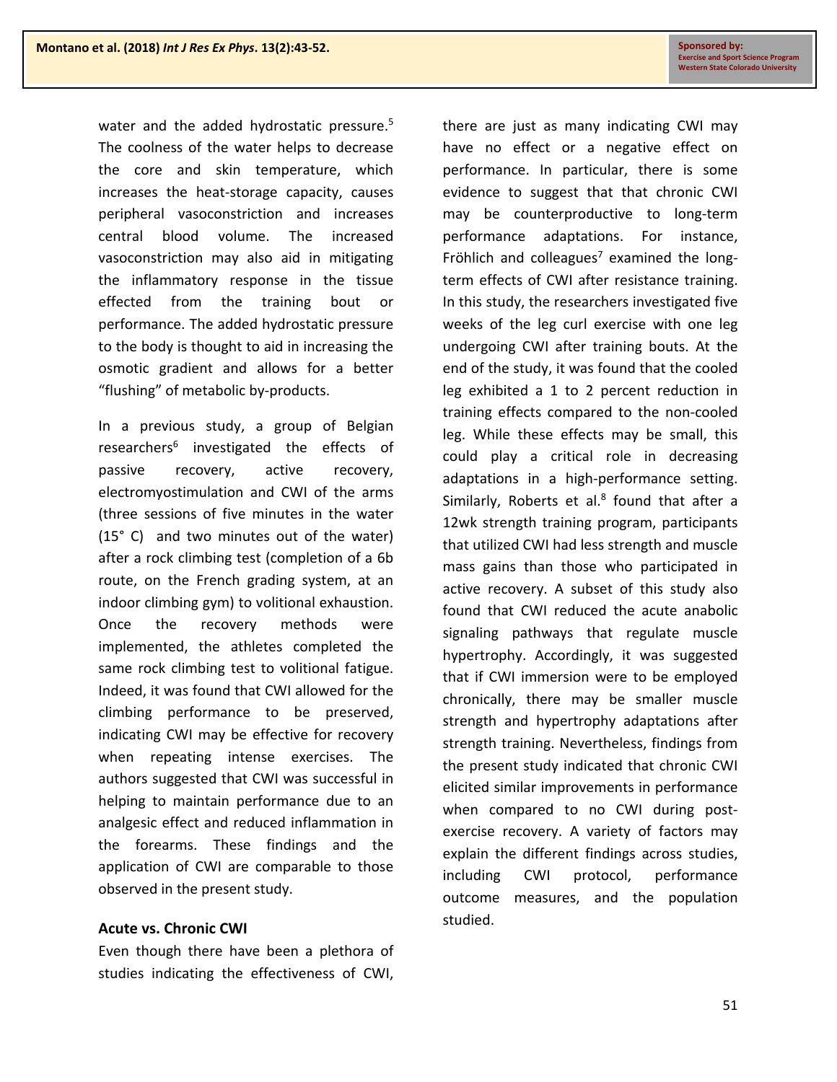water and the added hydrostatic pressure.<sup>5</sup> The coolness of the water helps to decrease the core and skin temperature, which increases the heat-storage capacity, causes peripheral vasoconstriction and increases central blood volume. The increased vasoconstriction may also aid in mitigating the inflammatory response in the tissue effected from the training bout or performance. The added hydrostatic pressure to the body is thought to aid in increasing the osmotic gradient and allows for a better "flushing" of metabolic by-products.

In a previous study, a group of Belgian researchers<sup>6</sup> investigated the effects of passive recovery, active recovery, electromyostimulation and CWI of the arms (three sessions of five minutes in the water (15° C) and two minutes out of the water) after a rock climbing test (completion of a 6b route, on the French grading system, at an indoor climbing gym) to volitional exhaustion. Once the recovery methods were implemented, the athletes completed the same rock climbing test to volitional fatigue. Indeed, it was found that CWI allowed for the climbing performance to be preserved, indicating CWI may be effective for recovery when repeating intense exercises. The authors suggested that CWI was successful in helping to maintain performance due to an analgesic effect and reduced inflammation in the forearms. These findings and the application of CWI are comparable to those observed in the present study.

#### **Acute vs. Chronic CWI**

Even though there have been a plethora of studies indicating the effectiveness of CWI,

there are just as many indicating CWI may have no effect or a negative effect on performance. In particular, there is some evidence to suggest that that chronic CWI may be counterproductive to long-term performance adaptations. For instance, Fröhlich and colleagues<sup>7</sup> examined the longterm effects of CWI after resistance training. In this study, the researchers investigated five weeks of the leg curl exercise with one leg undergoing CWI after training bouts. At the end of the study, it was found that the cooled leg exhibited a 1 to 2 percent reduction in training effects compared to the non-cooled leg. While these effects may be small, this could play a critical role in decreasing adaptations in a high-performance setting. Similarly, Roberts et al. $8$  found that after a 12wk strength training program, participants that utilized CWI had less strength and muscle mass gains than those who participated in active recovery. A subset of this study also found that CWI reduced the acute anabolic signaling pathways that regulate muscle hypertrophy. Accordingly, it was suggested that if CWI immersion were to be employed chronically, there may be smaller muscle strength and hypertrophy adaptations after strength training. Nevertheless, findings from the present study indicated that chronic CWI elicited similar improvements in performance when compared to no CWI during postexercise recovery. A variety of factors may explain the different findings across studies, including CWI protocol, performance outcome measures, and the population studied.